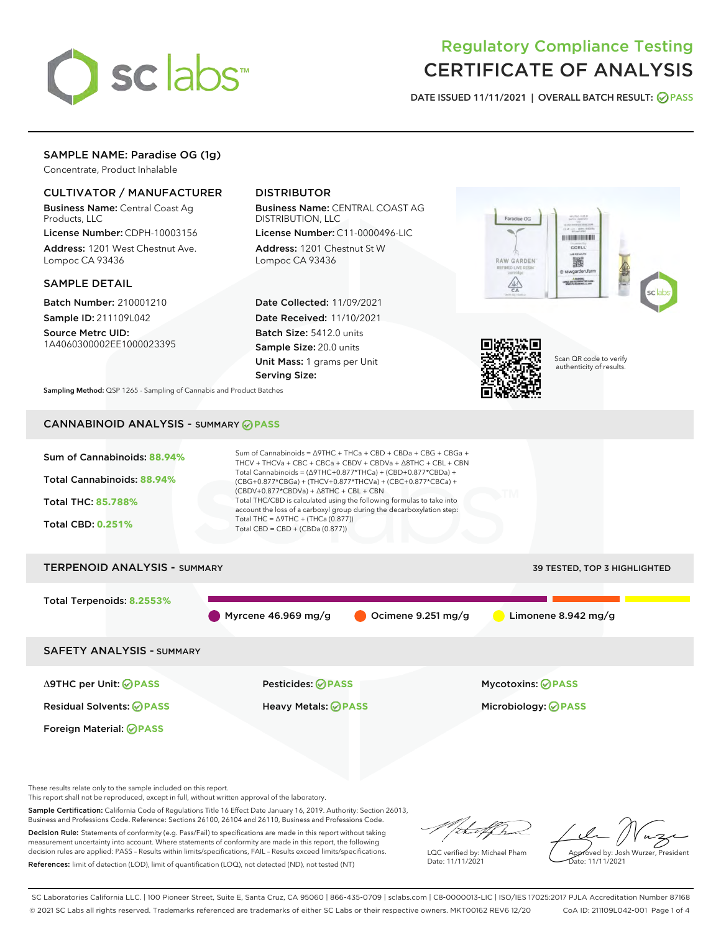

# Regulatory Compliance Testing CERTIFICATE OF ANALYSIS

DATE ISSUED 11/11/2021 | OVERALL BATCH RESULT: @ PASS

# SAMPLE NAME: Paradise OG (1g)

Concentrate, Product Inhalable

# CULTIVATOR / MANUFACTURER

Business Name: Central Coast Ag Products, LLC

License Number: CDPH-10003156 Address: 1201 West Chestnut Ave. Lompoc CA 93436

## SAMPLE DETAIL

Batch Number: 210001210 Sample ID: 211109L042

Source Metrc UID: 1A4060300002EE1000023395

# DISTRIBUTOR

Business Name: CENTRAL COAST AG DISTRIBUTION, LLC

License Number: C11-0000496-LIC Address: 1201 Chestnut St W Lompoc CA 93436

Date Collected: 11/09/2021 Date Received: 11/10/2021 Batch Size: 5412.0 units Sample Size: 20.0 units Unit Mass: 1 grams per Unit Serving Size:





Scan QR code to verify authenticity of results.

Sampling Method: QSP 1265 - Sampling of Cannabis and Product Batches

# CANNABINOID ANALYSIS - SUMMARY **PASS**



This report shall not be reproduced, except in full, without written approval of the laboratory.

Sample Certification: California Code of Regulations Title 16 Effect Date January 16, 2019. Authority: Section 26013, Business and Professions Code. Reference: Sections 26100, 26104 and 26110, Business and Professions Code.

Decision Rule: Statements of conformity (e.g. Pass/Fail) to specifications are made in this report without taking measurement uncertainty into account. Where statements of conformity are made in this report, the following decision rules are applied: PASS – Results within limits/specifications, FAIL – Results exceed limits/specifications. References: limit of detection (LOD), limit of quantification (LOQ), not detected (ND), not tested (NT)

that f In

LQC verified by: Michael Pham Date: 11/11/2021

Approved by: Josh Wurzer, President ate: 11/11/2021

SC Laboratories California LLC. | 100 Pioneer Street, Suite E, Santa Cruz, CA 95060 | 866-435-0709 | sclabs.com | C8-0000013-LIC | ISO/IES 17025:2017 PJLA Accreditation Number 87168 © 2021 SC Labs all rights reserved. Trademarks referenced are trademarks of either SC Labs or their respective owners. MKT00162 REV6 12/20 CoA ID: 211109L042-001 Page 1 of 4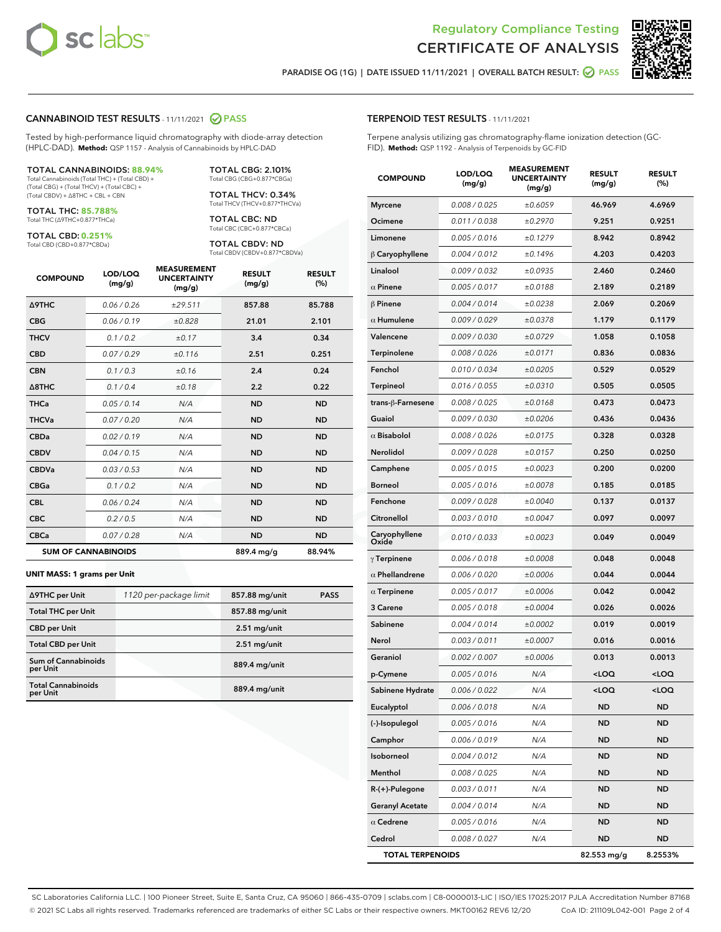



PARADISE OG (1G) | DATE ISSUED 11/11/2021 | OVERALL BATCH RESULT:  $\bigcirc$  PASS

## CANNABINOID TEST RESULTS - 11/11/2021 2 PASS

Tested by high-performance liquid chromatography with diode-array detection (HPLC-DAD). **Method:** QSP 1157 - Analysis of Cannabinoids by HPLC-DAD

#### TOTAL CANNABINOIDS: **88.94%**

Total Cannabinoids (Total THC) + (Total CBD) + (Total CBG) + (Total THCV) + (Total CBC) + (Total CBDV) + ∆8THC + CBL + CBN

TOTAL THC: **85.788%** Total THC (∆9THC+0.877\*THCa)

TOTAL CBD: **0.251%**

Total CBD (CBD+0.877\*CBDa)

TOTAL CBG: 2.101% Total CBG (CBG+0.877\*CBGa)

TOTAL THCV: 0.34% Total THCV (THCV+0.877\*THCVa)

TOTAL CBC: ND Total CBC (CBC+0.877\*CBCa)

TOTAL CBDV: ND Total CBDV (CBDV+0.877\*CBDVa)

| <b>COMPOUND</b>            | LOD/LOQ<br>(mg/g) | <b>MEASUREMENT</b><br><b>UNCERTAINTY</b><br>(mg/g) | <b>RESULT</b><br>(mg/g) | <b>RESULT</b><br>(%) |
|----------------------------|-------------------|----------------------------------------------------|-------------------------|----------------------|
| <b>A9THC</b>               | 0.06/0.26         | ±29.511                                            | 857.88                  | 85.788               |
| <b>CBG</b>                 | 0.06/0.19         | ±0.828                                             | 21.01                   | 2.101                |
| <b>THCV</b>                | 0.1/0.2           | ±0.17                                              | 3.4                     | 0.34                 |
| <b>CBD</b>                 | 0.07/0.29         | ±0.116                                             | 2.51                    | 0.251                |
| <b>CBN</b>                 | 0.1/0.3           | ±0.16                                              | 2.4                     | 0.24                 |
| $\triangle$ 8THC           | 0.1 / 0.4         | ±0.18                                              | 2.2                     | 0.22                 |
| <b>THCa</b>                | 0.05/0.14         | N/A                                                | <b>ND</b>               | <b>ND</b>            |
| <b>THCVa</b>               | 0.07/0.20         | N/A                                                | <b>ND</b>               | <b>ND</b>            |
| <b>CBDa</b>                | 0.02/0.19         | N/A                                                | <b>ND</b>               | <b>ND</b>            |
| <b>CBDV</b>                | 0.04 / 0.15       | N/A                                                | <b>ND</b>               | <b>ND</b>            |
| <b>CBDVa</b>               | 0.03/0.53         | N/A                                                | <b>ND</b>               | <b>ND</b>            |
| <b>CBGa</b>                | 0.1/0.2           | N/A                                                | <b>ND</b>               | <b>ND</b>            |
| <b>CBL</b>                 | 0.06 / 0.24       | N/A                                                | <b>ND</b>               | <b>ND</b>            |
| <b>CBC</b>                 | 0.2 / 0.5         | N/A                                                | <b>ND</b>               | <b>ND</b>            |
| <b>CBCa</b>                | 0.07 / 0.28       | N/A                                                | <b>ND</b>               | <b>ND</b>            |
| <b>SUM OF CANNABINOIDS</b> |                   |                                                    | 889.4 mg/g              | 88.94%               |

#### **UNIT MASS: 1 grams per Unit**

| ∆9THC per Unit                         | 1120 per-package limit | 857.88 mg/unit | <b>PASS</b> |
|----------------------------------------|------------------------|----------------|-------------|
| <b>Total THC per Unit</b>              |                        | 857.88 mg/unit |             |
| <b>CBD per Unit</b>                    |                        | $2.51$ mg/unit |             |
| <b>Total CBD per Unit</b>              |                        | $2.51$ mg/unit |             |
| <b>Sum of Cannabinoids</b><br>per Unit |                        | 889.4 mg/unit  |             |
| <b>Total Cannabinoids</b><br>per Unit  |                        | 889.4 mg/unit  |             |

| <b>COMPOUND</b>         | LOD/LOQ<br>(mg/g) | AJUREIVI<br><b>UNCERTAINTY</b><br>(mq/q) | <b>RESULT</b><br>(mg/g)                         | <b>RESULT</b><br>(%) |
|-------------------------|-------------------|------------------------------------------|-------------------------------------------------|----------------------|
| <b>Myrcene</b>          | 0.008 / 0.025     | ±0.6059                                  | 46.969                                          | 4.6969               |
| Ocimene                 | 0.011 / 0.038     | ±0.2970                                  | 9.251                                           | 0.9251               |
| Limonene                | 0.005 / 0.016     | ±0.1279                                  | 8.942                                           | 0.8942               |
| $\beta$ Caryophyllene   | 0.004 / 0.012     | ±0.1496                                  | 4.203                                           | 0.4203               |
| Linalool                | 0.009 / 0.032     | ±0.0935                                  | 2.460                                           | 0.2460               |
| $\alpha$ Pinene         | 0.005 / 0.017     | ±0.0188                                  | 2.189                                           | 0.2189               |
| $\beta$ Pinene          | 0.004 / 0.014     | ±0.0238                                  | 2.069                                           | 0.2069               |
| $\alpha$ Humulene       | 0.009/0.029       | ±0.0378                                  | 1.179                                           | 0.1179               |
| Valencene               | 0.009 / 0.030     | ±0.0729                                  | 1.058                                           | 0.1058               |
| Terpinolene             | 0.008 / 0.026     | ±0.0171                                  | 0.836                                           | 0.0836               |
| Fenchol                 | 0.010 / 0.034     | ±0.0205                                  | 0.529                                           | 0.0529               |
| Terpineol               | 0.016 / 0.055     | ±0.0310                                  | 0.505                                           | 0.0505               |
| trans-β-Farnesene       | 0.008 / 0.025     | ±0.0168                                  | 0.473                                           | 0.0473               |
| Guaiol                  | 0.009 / 0.030     | ±0.0206                                  | 0.436                                           | 0.0436               |
| $\alpha$ Bisabolol      | 0.008 / 0.026     | ±0.0175                                  | 0.328                                           | 0.0328               |
| <b>Nerolidol</b>        | 0.009 / 0.028     | ±0.0157                                  | 0.250                                           | 0.0250               |
| Camphene                | 0.005 / 0.015     | ±0.0023                                  | 0.200                                           | 0.0200               |
| <b>Borneol</b>          | 0.005 / 0.016     | ±0.0078                                  | 0.185                                           | 0.0185               |
| Fenchone                | 0.009 / 0.028     | ±0.0040                                  | 0.137                                           | 0.0137               |
| Citronellol             | 0.003 / 0.010     | ±0.0047                                  | 0.097                                           | 0.0097               |
| Caryophyllene<br>Oxide  | 0.010 / 0.033     | ±0.0023                                  | 0.049                                           | 0.0049               |
| $\gamma$ Terpinene      | 0.006 / 0.018     | ±0.0008                                  | 0.048                                           | 0.0048               |
| $\alpha$ Phellandrene   | 0.006 / 0.020     | ±0.0006                                  | 0.044                                           | 0.0044               |
| $\alpha$ Terpinene      | 0.005 / 0.017     | ±0.0006                                  | 0.042                                           | 0.0042               |
| 3 Carene                | 0.005 / 0.018     | ±0.0004                                  | 0.026                                           | 0.0026               |
| Sabinene                | 0.004 / 0.014     | ±0.0002                                  | 0.019                                           | 0.0019               |
| Nerol                   | 0.003 / 0.011     | ±0.0007                                  | 0.016                                           | 0.0016               |
| Geraniol                | 0.002 / 0.007     | ±0.0006                                  | 0.013                                           | 0.0013               |
| p-Cymene                | 0.005 / 0.016     | N/A                                      | <loq< th=""><th><loq< th=""></loq<></th></loq<> | <loq< th=""></loq<>  |
| Sabinene Hydrate        | 0.006 / 0.022     | N/A                                      | $<$ LOQ                                         | <loq< th=""></loq<>  |
| Eucalyptol              | 0.006 / 0.018     | N/A                                      | <b>ND</b>                                       | ND                   |
| (-)-Isopulegol          | 0.005 / 0.016     | N/A                                      | ND                                              | ND                   |
| Camphor                 | 0.006 / 0.019     | N/A                                      | ND                                              | ND                   |
| Isoborneol              | 0.004 / 0.012     | N/A                                      | ND                                              | ND                   |
| Menthol                 | 0.008 / 0.025     | N/A                                      | ND                                              | ND                   |
| R-(+)-Pulegone          | 0.003 / 0.011     | N/A                                      | ND                                              | ND                   |
| <b>Geranyl Acetate</b>  | 0.004 / 0.014     | N/A                                      | ND                                              | ND                   |
| $\alpha$ Cedrene        | 0.005 / 0.016     | N/A                                      | ND                                              | ND                   |
| Cedrol                  | 0.008 / 0.027     | N/A                                      | ND                                              | ND                   |
| <b>TOTAL TERPENOIDS</b> |                   |                                          | 82.553 mg/g                                     | 8.2553%              |

SC Laboratories California LLC. | 100 Pioneer Street, Suite E, Santa Cruz, CA 95060 | 866-435-0709 | sclabs.com | C8-0000013-LIC | ISO/IES 17025:2017 PJLA Accreditation Number 87168 © 2021 SC Labs all rights reserved. Trademarks referenced are trademarks of either SC Labs or their respective owners. MKT00162 REV6 12/20 CoA ID: 211109L042-001 Page 2 of 4

# TERPENOID TEST RESULTS - 11/11/2021

Terpene analysis utilizing gas chromatography-flame ionization detection (GC-FID). **Method:** QSP 1192 - Analysis of Terpenoids by GC-FID

MEACUREMENT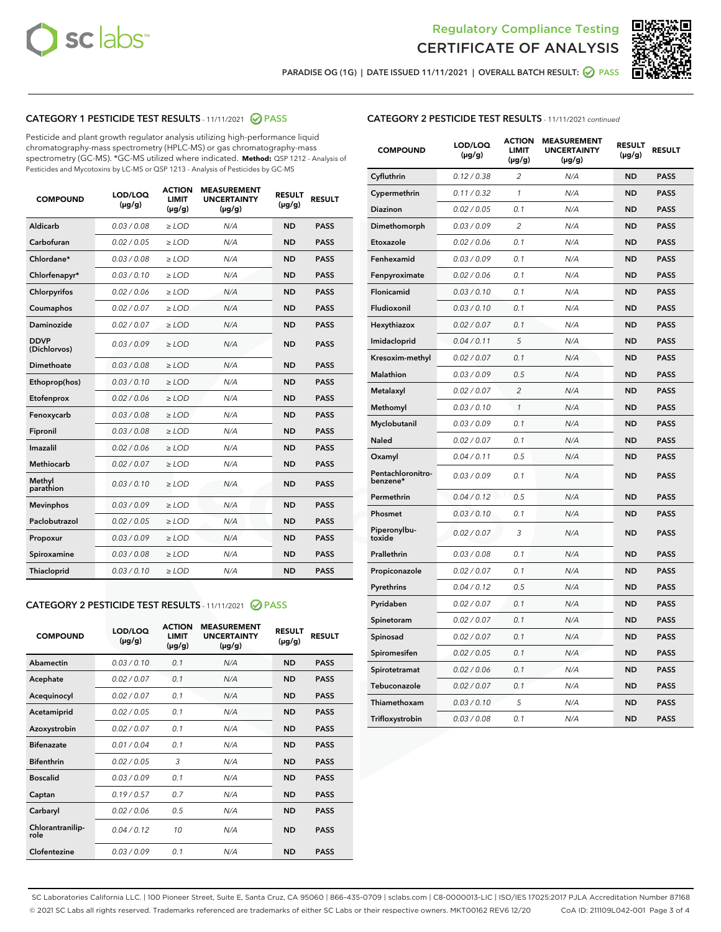



PARADISE OG (1G) | DATE ISSUED 11/11/2021 | OVERALL BATCH RESULT:  $\bigcirc$  PASS

# CATEGORY 1 PESTICIDE TEST RESULTS - 11/11/2021 2 PASS

Pesticide and plant growth regulator analysis utilizing high-performance liquid chromatography-mass spectrometry (HPLC-MS) or gas chromatography-mass spectrometry (GC-MS). \*GC-MS utilized where indicated. **Method:** QSP 1212 - Analysis of Pesticides and Mycotoxins by LC-MS or QSP 1213 - Analysis of Pesticides by GC-MS

| 0.03/0.08<br><b>ND</b><br>Aldicarb<br>$>$ LOD<br>N/A<br><b>PASS</b><br>Carbofuran<br>0.02 / 0.05<br><b>ND</b><br><b>PASS</b><br>$>$ LOD<br>N/A<br>Chlordane*<br>0.03 / 0.08<br>N/A<br><b>ND</b><br><b>PASS</b><br>$\ge$ LOD<br>Chlorfenapyr*<br>0.03/0.10<br><b>ND</b><br><b>PASS</b><br>$\ge$ LOD<br>N/A<br>N/A<br><b>ND</b><br><b>PASS</b><br>Chlorpyrifos<br>0.02 / 0.06<br>$\ge$ LOD<br>Coumaphos<br>0.02 / 0.07<br>N/A<br><b>ND</b><br><b>PASS</b><br>$\ge$ LOD<br>Daminozide<br>0.02 / 0.07<br>N/A<br><b>ND</b><br><b>PASS</b><br>$\ge$ LOD<br><b>DDVP</b><br>0.03/0.09<br>$>$ LOD<br>N/A<br><b>ND</b><br><b>PASS</b><br>(Dichlorvos)<br>Dimethoate<br>0.03/0.08<br>$>$ LOD<br>N/A<br><b>ND</b><br><b>PASS</b><br>0.03/0.10<br><b>ND</b><br><b>PASS</b><br>Ethoprop(hos)<br>$\ge$ LOD<br>N/A<br>0.02 / 0.06<br>N/A<br><b>ND</b><br><b>PASS</b><br>Etofenprox<br>$\ge$ LOD<br>Fenoxycarb<br>0.03 / 0.08<br>N/A<br><b>ND</b><br><b>PASS</b><br>$\ge$ LOD<br>0.03/0.08<br><b>ND</b><br><b>PASS</b><br>Fipronil<br>$\ge$ LOD<br>N/A<br>Imazalil<br>0.02 / 0.06<br>$\ge$ LOD<br>N/A<br><b>ND</b><br><b>PASS</b><br><b>Methiocarb</b><br>0.02 / 0.07<br><b>PASS</b><br>$\ge$ LOD<br>N/A<br><b>ND</b><br>Methyl<br>0.03/0.10<br>$\ge$ LOD<br>N/A<br><b>ND</b><br><b>PASS</b><br>parathion<br>0.03/0.09<br><b>ND</b><br><b>Mevinphos</b><br>$\ge$ LOD<br>N/A<br><b>PASS</b><br>Paclobutrazol<br>0.02 / 0.05<br>$\ge$ LOD<br>N/A<br><b>ND</b><br><b>PASS</b><br>0.03/0.09<br>$\ge$ LOD<br>N/A<br><b>ND</b><br><b>PASS</b><br>Propoxur<br>Spiroxamine<br>0.03 / 0.08<br>$\ge$ LOD<br>N/A<br><b>ND</b><br><b>PASS</b><br>0.03/0.10<br><b>ND</b><br><b>PASS</b><br><b>Thiacloprid</b><br>$\ge$ LOD<br>N/A | <b>COMPOUND</b> | LOD/LOQ<br>$(\mu g/g)$ | <b>ACTION</b><br>LIMIT<br>$(\mu g/g)$ | <b>MEASUREMENT</b><br><b>UNCERTAINTY</b><br>$(\mu g/g)$ | <b>RESULT</b><br>$(\mu g/g)$ | <b>RESULT</b> |
|-----------------------------------------------------------------------------------------------------------------------------------------------------------------------------------------------------------------------------------------------------------------------------------------------------------------------------------------------------------------------------------------------------------------------------------------------------------------------------------------------------------------------------------------------------------------------------------------------------------------------------------------------------------------------------------------------------------------------------------------------------------------------------------------------------------------------------------------------------------------------------------------------------------------------------------------------------------------------------------------------------------------------------------------------------------------------------------------------------------------------------------------------------------------------------------------------------------------------------------------------------------------------------------------------------------------------------------------------------------------------------------------------------------------------------------------------------------------------------------------------------------------------------------------------------------------------------------------------------------------------------------------------------------------------------------------------------|-----------------|------------------------|---------------------------------------|---------------------------------------------------------|------------------------------|---------------|
|                                                                                                                                                                                                                                                                                                                                                                                                                                                                                                                                                                                                                                                                                                                                                                                                                                                                                                                                                                                                                                                                                                                                                                                                                                                                                                                                                                                                                                                                                                                                                                                                                                                                                                     |                 |                        |                                       |                                                         |                              |               |
|                                                                                                                                                                                                                                                                                                                                                                                                                                                                                                                                                                                                                                                                                                                                                                                                                                                                                                                                                                                                                                                                                                                                                                                                                                                                                                                                                                                                                                                                                                                                                                                                                                                                                                     |                 |                        |                                       |                                                         |                              |               |
|                                                                                                                                                                                                                                                                                                                                                                                                                                                                                                                                                                                                                                                                                                                                                                                                                                                                                                                                                                                                                                                                                                                                                                                                                                                                                                                                                                                                                                                                                                                                                                                                                                                                                                     |                 |                        |                                       |                                                         |                              |               |
|                                                                                                                                                                                                                                                                                                                                                                                                                                                                                                                                                                                                                                                                                                                                                                                                                                                                                                                                                                                                                                                                                                                                                                                                                                                                                                                                                                                                                                                                                                                                                                                                                                                                                                     |                 |                        |                                       |                                                         |                              |               |
|                                                                                                                                                                                                                                                                                                                                                                                                                                                                                                                                                                                                                                                                                                                                                                                                                                                                                                                                                                                                                                                                                                                                                                                                                                                                                                                                                                                                                                                                                                                                                                                                                                                                                                     |                 |                        |                                       |                                                         |                              |               |
|                                                                                                                                                                                                                                                                                                                                                                                                                                                                                                                                                                                                                                                                                                                                                                                                                                                                                                                                                                                                                                                                                                                                                                                                                                                                                                                                                                                                                                                                                                                                                                                                                                                                                                     |                 |                        |                                       |                                                         |                              |               |
|                                                                                                                                                                                                                                                                                                                                                                                                                                                                                                                                                                                                                                                                                                                                                                                                                                                                                                                                                                                                                                                                                                                                                                                                                                                                                                                                                                                                                                                                                                                                                                                                                                                                                                     |                 |                        |                                       |                                                         |                              |               |
|                                                                                                                                                                                                                                                                                                                                                                                                                                                                                                                                                                                                                                                                                                                                                                                                                                                                                                                                                                                                                                                                                                                                                                                                                                                                                                                                                                                                                                                                                                                                                                                                                                                                                                     |                 |                        |                                       |                                                         |                              |               |
|                                                                                                                                                                                                                                                                                                                                                                                                                                                                                                                                                                                                                                                                                                                                                                                                                                                                                                                                                                                                                                                                                                                                                                                                                                                                                                                                                                                                                                                                                                                                                                                                                                                                                                     |                 |                        |                                       |                                                         |                              |               |
|                                                                                                                                                                                                                                                                                                                                                                                                                                                                                                                                                                                                                                                                                                                                                                                                                                                                                                                                                                                                                                                                                                                                                                                                                                                                                                                                                                                                                                                                                                                                                                                                                                                                                                     |                 |                        |                                       |                                                         |                              |               |
|                                                                                                                                                                                                                                                                                                                                                                                                                                                                                                                                                                                                                                                                                                                                                                                                                                                                                                                                                                                                                                                                                                                                                                                                                                                                                                                                                                                                                                                                                                                                                                                                                                                                                                     |                 |                        |                                       |                                                         |                              |               |
|                                                                                                                                                                                                                                                                                                                                                                                                                                                                                                                                                                                                                                                                                                                                                                                                                                                                                                                                                                                                                                                                                                                                                                                                                                                                                                                                                                                                                                                                                                                                                                                                                                                                                                     |                 |                        |                                       |                                                         |                              |               |
|                                                                                                                                                                                                                                                                                                                                                                                                                                                                                                                                                                                                                                                                                                                                                                                                                                                                                                                                                                                                                                                                                                                                                                                                                                                                                                                                                                                                                                                                                                                                                                                                                                                                                                     |                 |                        |                                       |                                                         |                              |               |
|                                                                                                                                                                                                                                                                                                                                                                                                                                                                                                                                                                                                                                                                                                                                                                                                                                                                                                                                                                                                                                                                                                                                                                                                                                                                                                                                                                                                                                                                                                                                                                                                                                                                                                     |                 |                        |                                       |                                                         |                              |               |
|                                                                                                                                                                                                                                                                                                                                                                                                                                                                                                                                                                                                                                                                                                                                                                                                                                                                                                                                                                                                                                                                                                                                                                                                                                                                                                                                                                                                                                                                                                                                                                                                                                                                                                     |                 |                        |                                       |                                                         |                              |               |
|                                                                                                                                                                                                                                                                                                                                                                                                                                                                                                                                                                                                                                                                                                                                                                                                                                                                                                                                                                                                                                                                                                                                                                                                                                                                                                                                                                                                                                                                                                                                                                                                                                                                                                     |                 |                        |                                       |                                                         |                              |               |
|                                                                                                                                                                                                                                                                                                                                                                                                                                                                                                                                                                                                                                                                                                                                                                                                                                                                                                                                                                                                                                                                                                                                                                                                                                                                                                                                                                                                                                                                                                                                                                                                                                                                                                     |                 |                        |                                       |                                                         |                              |               |
|                                                                                                                                                                                                                                                                                                                                                                                                                                                                                                                                                                                                                                                                                                                                                                                                                                                                                                                                                                                                                                                                                                                                                                                                                                                                                                                                                                                                                                                                                                                                                                                                                                                                                                     |                 |                        |                                       |                                                         |                              |               |
|                                                                                                                                                                                                                                                                                                                                                                                                                                                                                                                                                                                                                                                                                                                                                                                                                                                                                                                                                                                                                                                                                                                                                                                                                                                                                                                                                                                                                                                                                                                                                                                                                                                                                                     |                 |                        |                                       |                                                         |                              |               |
|                                                                                                                                                                                                                                                                                                                                                                                                                                                                                                                                                                                                                                                                                                                                                                                                                                                                                                                                                                                                                                                                                                                                                                                                                                                                                                                                                                                                                                                                                                                                                                                                                                                                                                     |                 |                        |                                       |                                                         |                              |               |
|                                                                                                                                                                                                                                                                                                                                                                                                                                                                                                                                                                                                                                                                                                                                                                                                                                                                                                                                                                                                                                                                                                                                                                                                                                                                                                                                                                                                                                                                                                                                                                                                                                                                                                     |                 |                        |                                       |                                                         |                              |               |

# CATEGORY 2 PESTICIDE TEST RESULTS - 11/11/2021 @ PASS

| <b>COMPOUND</b>          | LOD/LOO<br>$(\mu g/g)$ | <b>ACTION</b><br>LIMIT<br>$(\mu g/g)$ | <b>MEASUREMENT</b><br><b>UNCERTAINTY</b><br>$(\mu g/g)$ | <b>RESULT</b><br>$(\mu g/g)$ | <b>RESULT</b> |  |
|--------------------------|------------------------|---------------------------------------|---------------------------------------------------------|------------------------------|---------------|--|
| Abamectin                | 0.03/0.10              | 0.1                                   | N/A                                                     | <b>ND</b>                    | <b>PASS</b>   |  |
| Acephate                 | 0.02/0.07              | 0.1                                   | N/A                                                     | <b>ND</b>                    | <b>PASS</b>   |  |
| Acequinocyl              | 0.02/0.07              | 0.1                                   | N/A                                                     | <b>ND</b>                    | <b>PASS</b>   |  |
| Acetamiprid              | 0.02/0.05              | 0.1                                   | N/A                                                     | <b>ND</b>                    | <b>PASS</b>   |  |
| Azoxystrobin             | 0.02/0.07              | 0.1                                   | N/A                                                     | <b>ND</b>                    | <b>PASS</b>   |  |
| <b>Bifenazate</b>        | 0.01/0.04              | 0.1                                   | N/A                                                     | <b>ND</b>                    | <b>PASS</b>   |  |
| <b>Bifenthrin</b>        | 0.02/0.05              | 3                                     | N/A                                                     | <b>ND</b>                    | <b>PASS</b>   |  |
| <b>Boscalid</b>          | 0.03/0.09              | 0.1                                   | N/A                                                     | <b>ND</b>                    | <b>PASS</b>   |  |
| Captan                   | 0.19/0.57              | 0.7                                   | N/A                                                     | <b>ND</b>                    | <b>PASS</b>   |  |
| Carbaryl                 | 0.02/0.06              | 0.5                                   | N/A                                                     | <b>ND</b>                    | <b>PASS</b>   |  |
| Chlorantranilip-<br>role | 0.04/0.12              | 10                                    | N/A                                                     | <b>ND</b>                    | <b>PASS</b>   |  |
| Clofentezine             | 0.03/0.09              | 0.1                                   | N/A                                                     | <b>ND</b>                    | <b>PASS</b>   |  |

# CATEGORY 2 PESTICIDE TEST RESULTS - 11/11/2021 continued

| <b>COMPOUND</b>               | LOD/LOQ<br>(µg/g) | <b>ACTION</b><br>LIMIT<br>(µg/g) | <b>MEASUREMENT</b><br><b>UNCERTAINTY</b><br>(µg/g) | <b>RESULT</b><br>$(\mu g/g)$ | <b>RESULT</b> |
|-------------------------------|-------------------|----------------------------------|----------------------------------------------------|------------------------------|---------------|
| Cyfluthrin                    | 0.12 / 0.38       | $\overline{2}$                   | N/A                                                | <b>ND</b>                    | <b>PASS</b>   |
| Cypermethrin                  | 0.11 / 0.32       | 1                                | N/A                                                | <b>ND</b>                    | <b>PASS</b>   |
| Diazinon                      | 0.02 / 0.05       | 0.1                              | N/A                                                | <b>ND</b>                    | <b>PASS</b>   |
| Dimethomorph                  | 0.03 / 0.09       | $\overline{c}$                   | N/A                                                | <b>ND</b>                    | <b>PASS</b>   |
| Etoxazole                     | 0.02 / 0.06       | 0.1                              | N/A                                                | <b>ND</b>                    | <b>PASS</b>   |
| Fenhexamid                    | 0.03 / 0.09       | 0.1                              | N/A                                                | <b>ND</b>                    | <b>PASS</b>   |
| Fenpyroximate                 | 0.02 / 0.06       | 0.1                              | N/A                                                | <b>ND</b>                    | <b>PASS</b>   |
| Flonicamid                    | 0.03 / 0.10       | 0.1                              | N/A                                                | <b>ND</b>                    | <b>PASS</b>   |
| Fludioxonil                   | 0.03 / 0.10       | 0.1                              | N/A                                                | <b>ND</b>                    | <b>PASS</b>   |
| Hexythiazox                   | 0.02 / 0.07       | 0.1                              | N/A                                                | <b>ND</b>                    | <b>PASS</b>   |
| Imidacloprid                  | 0.04 / 0.11       | 5                                | N/A                                                | <b>ND</b>                    | <b>PASS</b>   |
| Kresoxim-methyl               | 0.02 / 0.07       | 0.1                              | N/A                                                | <b>ND</b>                    | <b>PASS</b>   |
| Malathion                     | 0.03 / 0.09       | 0.5                              | N/A                                                | <b>ND</b>                    | <b>PASS</b>   |
| Metalaxyl                     | 0.02 / 0.07       | $\overline{c}$                   | N/A                                                | ND                           | <b>PASS</b>   |
| Methomyl                      | 0.03 / 0.10       | $\mathbf{1}$                     | N/A                                                | <b>ND</b>                    | <b>PASS</b>   |
| Myclobutanil                  | 0.03 / 0.09       | 0.1                              | N/A                                                | <b>ND</b>                    | <b>PASS</b>   |
| Naled                         | 0.02 / 0.07       | 0.1                              | N/A                                                | <b>ND</b>                    | <b>PASS</b>   |
| Oxamyl                        | 0.04 / 0.11       | 0.5                              | N/A                                                | <b>ND</b>                    | <b>PASS</b>   |
| Pentachloronitro-<br>benzene* | 0.03 / 0.09       | 0.1                              | N/A                                                | ND                           | <b>PASS</b>   |
| Permethrin                    | 0.04 / 0.12       | 0.5                              | N/A                                                | <b>ND</b>                    | <b>PASS</b>   |
| Phosmet                       | 0.03 / 0.10       | 0.1                              | N/A                                                | <b>ND</b>                    | <b>PASS</b>   |
| Piperonylbu-<br>toxide        | 0.02 / 0.07       | 3                                | N/A                                                | <b>ND</b>                    | <b>PASS</b>   |
| Prallethrin                   | 0.03 / 0.08       | 0.1                              | N/A                                                | <b>ND</b>                    | <b>PASS</b>   |
| Propiconazole                 | 0.02 / 0.07       | 0.1                              | N/A                                                | <b>ND</b>                    | <b>PASS</b>   |
| Pyrethrins                    | 0.04 / 0.12       | 0.5                              | N/A                                                | <b>ND</b>                    | <b>PASS</b>   |
| Pyridaben                     | 0.02 / 0.07       | 0.1                              | N/A                                                | <b>ND</b>                    | <b>PASS</b>   |
| Spinetoram                    | 0.02 / 0.07       | 0.1                              | N/A                                                | <b>ND</b>                    | <b>PASS</b>   |
| Spinosad                      | 0.02 / 0.07       | 0.1                              | N/A                                                | <b>ND</b>                    | <b>PASS</b>   |
| Spiromesifen                  | 0.02 / 0.05       | 0.1                              | N/A                                                | <b>ND</b>                    | <b>PASS</b>   |
| Spirotetramat                 | 0.02 / 0.06       | 0.1                              | N/A                                                | <b>ND</b>                    | <b>PASS</b>   |
| Tebuconazole                  | 0.02 / 0.07       | 0.1                              | N/A                                                | <b>ND</b>                    | <b>PASS</b>   |
| Thiamethoxam                  | 0.03 / 0.10       | 5                                | N/A                                                | <b>ND</b>                    | <b>PASS</b>   |
| Trifloxystrobin               | 0.03 / 0.08       | 0.1                              | N/A                                                | <b>ND</b>                    | <b>PASS</b>   |

SC Laboratories California LLC. | 100 Pioneer Street, Suite E, Santa Cruz, CA 95060 | 866-435-0709 | sclabs.com | C8-0000013-LIC | ISO/IES 17025:2017 PJLA Accreditation Number 87168 © 2021 SC Labs all rights reserved. Trademarks referenced are trademarks of either SC Labs or their respective owners. MKT00162 REV6 12/20 CoA ID: 211109L042-001 Page 3 of 4